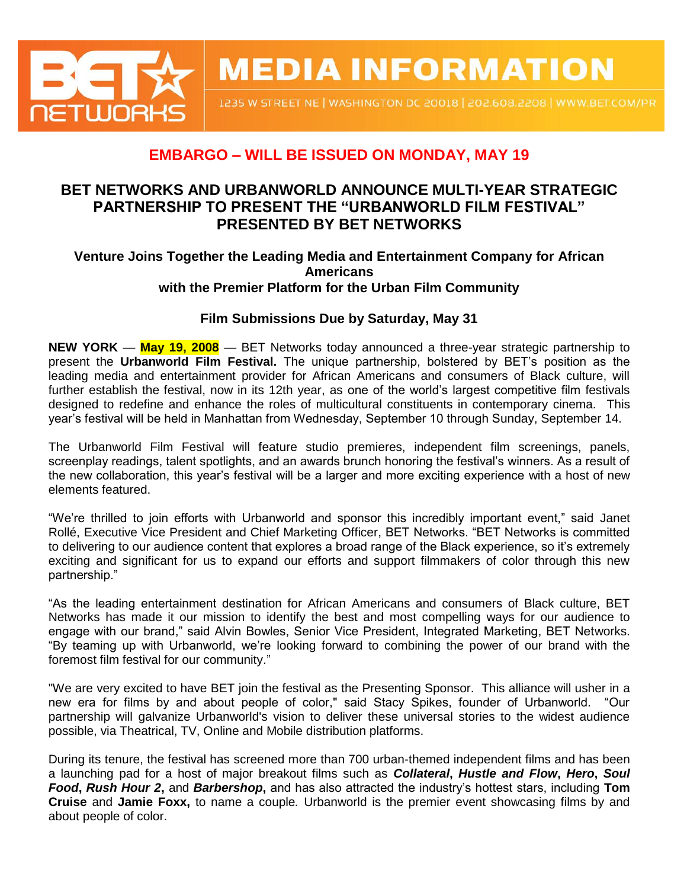

**MEDIA INFORMATION** 

1235 W STREET NE | WASHINGTON DC 20018 | 202.608.2208 | WWW.BET.COM/PR

# **EMBARGO – WILL BE ISSUED ON MONDAY, MAY 19**

## **BET NETWORKS AND URBANWORLD ANNOUNCE MULTI-YEAR STRATEGIC PARTNERSHIP TO PRESENT THE "URBANWORLD FILM FESTIVAL" PRESENTED BY BET NETWORKS**

### **Venture Joins Together the Leading Media and Entertainment Company for African Americans with the Premier Platform for the Urban Film Community**

## **Film Submissions Due by Saturday, May 31**

**NEW YORK** — **May 19, 2008** — BET Networks today announced a three-year strategic partnership to present the **Urbanworld Film Festival.** The unique partnership, bolstered by BET's position as the leading media and entertainment provider for African Americans and consumers of Black culture, will further establish the festival, now in its 12th year, as one of the world's largest competitive film festivals designed to redefine and enhance the roles of multicultural constituents in contemporary cinema. This year's festival will be held in Manhattan from Wednesday, September 10 through Sunday, September 14.

The Urbanworld Film Festival will feature studio premieres, independent film screenings, panels, screenplay readings, talent spotlights, and an awards brunch honoring the festival's winners. As a result of the new collaboration, this year's festival will be a larger and more exciting experience with a host of new elements featured.

"We're thrilled to join efforts with Urbanworld and sponsor this incredibly important event," said Janet Rollé, Executive Vice President and Chief Marketing Officer, BET Networks. "BET Networks is committed to delivering to our audience content that explores a broad range of the Black experience, so it's extremely exciting and significant for us to expand our efforts and support filmmakers of color through this new partnership."

"As the leading entertainment destination for African Americans and consumers of Black culture, BET Networks has made it our mission to identify the best and most compelling ways for our audience to engage with our brand," said Alvin Bowles, Senior Vice President, Integrated Marketing, BET Networks. "By teaming up with Urbanworld, we're looking forward to combining the power of our brand with the foremost film festival for our community."

"We are very excited to have BET join the festival as the Presenting Sponsor. This alliance will usher in a new era for films by and about people of color," said Stacy Spikes, founder of Urbanworld. partnership will galvanize Urbanworld's vision to deliver these universal stories to the widest audience possible, via Theatrical, TV, Online and Mobile distribution platforms.

During its tenure, the festival has screened more than 700 urban-themed independent films and has been a launching pad for a host of major breakout films such as *Collateral***,** *Hustle and Flow***,** *Hero***,** *Soul Food***,** *Rush Hour 2***,** and *Barbershop***,** and has also attracted the industry's hottest stars, including **Tom Cruise** and **Jamie Foxx,** to name a couple*.* Urbanworld is the premier event showcasing films by and about people of color.